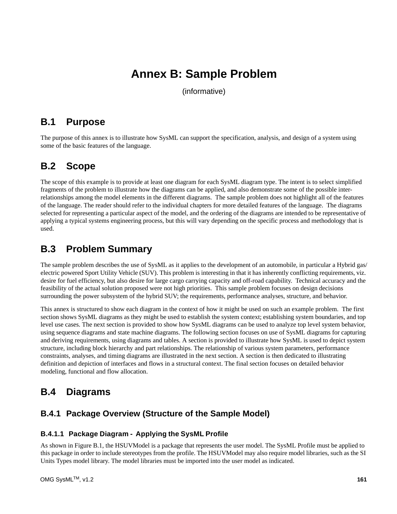# **Annex B: Sample Problem**

(informative)

## **B.1 Purpose**

The purpose of this annex is to illustrate how SysML can support the specification, analysis, and design of a system using some of the basic features of the language.

## **B.2 Scope**

The scope of this example is to provide at least one diagram for each SysML diagram type. The intent is to select simplified fragments of the problem to illustrate how the diagrams can be applied, and also demonstrate some of the possible interrelationships among the model elements in the different diagrams. The sample problem does not highlight all of the features of the language. The reader should refer to the individual chapters for more detailed features of the language. The diagrams selected for representing a particular aspect of the model, and the ordering of the diagrams are intended to be representative of applying a typical systems engineering process, but this will vary depending on the specific process and methodology that is used.

## **B.3 Problem Summary**

The sample problem describes the use of SysML as it applies to the development of an automobile, in particular a Hybrid gas/ electric powered Sport Utility Vehicle (SUV). This problem is interesting in that it has inherently conflicting requirements, viz. desire for fuel efficiency, but also desire for large cargo carrying capacity and off-road capability. Technical accuracy and the feasibility of the actual solution proposed were not high priorities. This sample problem focuses on design decisions surrounding the power subsystem of the hybrid SUV; the requirements, performance analyses, structure, and behavior.

This annex is structured to show each diagram in the context of how it might be used on such an example problem. The first section shows SysML diagrams as they might be used to establish the system context; establishing system boundaries, and top level use cases. The next section is provided to show how SysML diagrams can be used to analyze top level system behavior, using sequence diagrams and state machine diagrams. The following section focuses on use of SysML diagrams for capturing and deriving requirements, using diagrams and tables. A section is provided to illustrate how SysML is used to depict system structure, including block hierarchy and part relationships. The relationship of various system parameters, performance constraints, analyses, and timing diagrams are illustrated in the next section. A section is then dedicated to illustrating definition and depiction of interfaces and flows in a structural context. The final section focuses on detailed behavior modeling, functional and flow allocation.

## **B.4 Diagrams**

### **B.4.1 Package Overview (Structure of the Sample Model)**

### **B.4.1.1 Package Diagram - Applying the SysML Profile**

As shown in Figure B.1, the HSUVModel is a package that represents the user model. The SysML Profile must be applied to this package in order to include stereotypes from the profile. The HSUVModel may also require model libraries, such as the SI Units Types model library. The model libraries must be imported into the user model as indicated.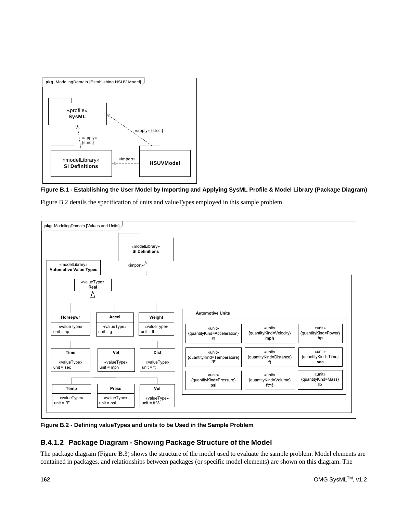

**Figure B.1 - Establishing the User Model by Importing and Applying SysML Profile & Model Library (Package Diagram)**

Figure B.2 details the specification of units and valueTypes employed in this sample problem.



**Figure B.2 - Defining valueTypes and units to be Used in the Sample Problem**

### **B.4.1.2 Package Diagram - Showing Package Structure of the Model**

The package diagram (Figure B.3) shows the structure of the model used to evaluate the sample problem. Model elements are contained in packages, and relationships between packages (or specific model elements) are shown on this diagram. The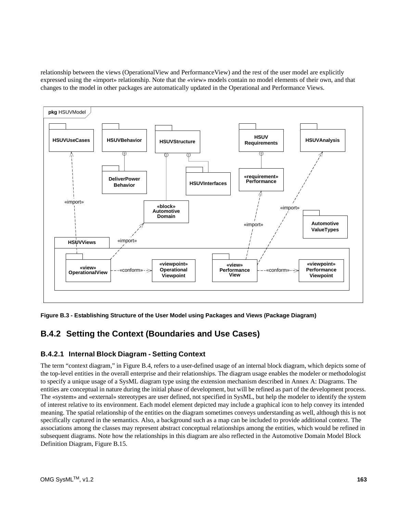relationship between the views (OperationalView and PerformanceView) and the rest of the user model are explicitly expressed using the «import» relationship. Note that the «view» models contain no model elements of their own, and that changes to the model in other packages are automatically updated in the Operational and Performance Views.



**Figure B.3 - Establishing Structure of the User Model using Packages and Views (Package Diagram)**

## **B.4.2 Setting the Context (Boundaries and Use Cases)**

### **B.4.2.1 Internal Block Diagram - Setting Context**

The term "context diagram," in Figure B.4, refers to a user-defined usage of an internal block diagram, which depicts some of the top-level entities in the overall enterprise and their relationships. The diagram usage enables the modeler or methodologist to specify a unique usage of a SysML diagram type using the extension mechanism described in Annex A: Diagrams. The entities are conceptual in nature during the initial phase of development, but will be refined as part of the development process. The «system» and «external» stereotypes are user defined, not specified in SysML, but help the modeler to identify the system of interest relative to its environment. Each model element depicted may include a graphical icon to help convey its intended meaning. The spatial relationship of the entities on the diagram sometimes conveys understanding as well, although this is not specifically captured in the semantics. Also, a background such as a map can be included to provide additional context. The associations among the classes may represent abstract conceptual relationships among the entities, which would be refined in subsequent diagrams. Note how the relationships in this diagram are also reflected in the Automotive Domain Model Block Definition Diagram, Figure B.15.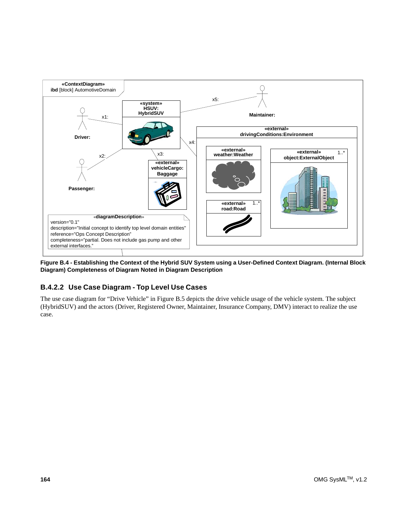

**Figure B.4 - Establishing the Context of the Hybrid SUV System using a User-Defined Context Diagram. (Internal Block Diagram) Completeness of Diagram Noted in Diagram Description**

### **B.4.2.2 Use Case Diagram - Top Level Use Cases**

The use case diagram for "Drive Vehicle" in Figure B.5 depicts the drive vehicle usage of the vehicle system. The subject (HybridSUV) and the actors (Driver, Registered Owner, Maintainer, Insurance Company, DMV) interact to realize the use case.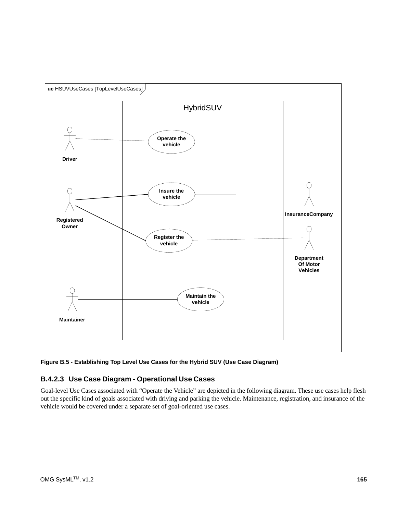

**Figure B.5 - Establishing Top Level Use Cases for the Hybrid SUV (Use Case Diagram)**

### **B.4.2.3 Use Case Diagram - Operational Use Cases**

Goal-level Use Cases associated with "Operate the Vehicle" are depicted in the following diagram. These use cases help flesh out the specific kind of goals associated with driving and parking the vehicle. Maintenance, registration, and insurance of the vehicle would be covered under a separate set of goal-oriented use cases.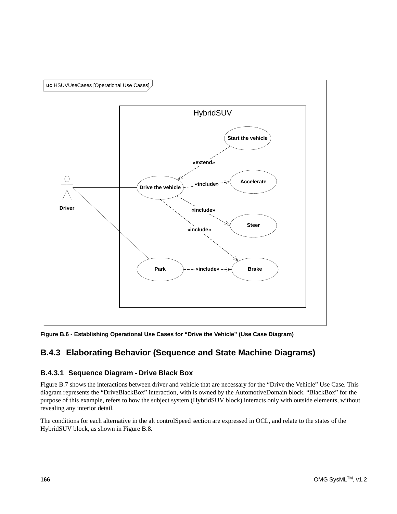

**Figure B.6 - Establishing Operational Use Cases for "Drive the Vehicle" (Use Case Diagram)**

## **B.4.3 Elaborating Behavior (Sequence and State Machine Diagrams)**

### **B.4.3.1 Sequence Diagram - Drive Black Box**

Figure B.7 shows the interactions between driver and vehicle that are necessary for the "Drive the Vehicle" Use Case. This diagram represents the "DriveBlackBox" interaction, with is owned by the AutomotiveDomain block. "BlackBox" for the purpose of this example, refers to how the subject system (HybridSUV block) interacts only with outside elements, without revealing any interior detail.

The conditions for each alternative in the alt controlSpeed section are expressed in OCL, and relate to the states of the HybridSUV block, as shown in Figure B.8.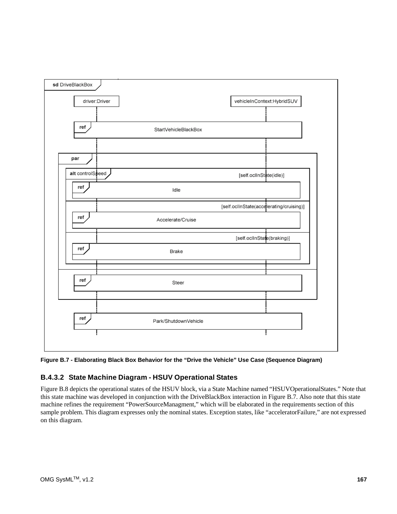

**Figure B.7 - Elaborating Black Box Behavior for the "Drive the Vehicle" Use Case (Sequence Diagram)**

### **B.4.3.2 State Machine Diagram - HSUV Operational States**

Figure B.8 depicts the operational states of the HSUV block, via a State Machine named "HSUVOperationalStates." Note that this state machine was developed in conjunction with the DriveBlackBox interaction in Figure B.7. Also note that this state machine refines the requirement "PowerSourceManagment," which will be elaborated in the requirements section of this sample problem. This diagram expresses only the nominal states. Exception states, like "acceleratorFailure," are not expressed on this diagram.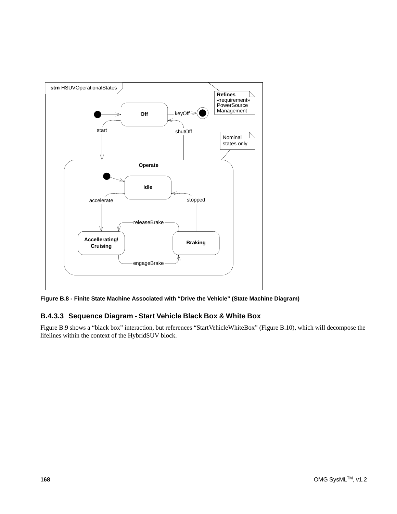

**Figure B.8 - Finite State Machine Associated with "Drive the Vehicle" (State Machine Diagram)**

### **B.4.3.3 Sequence Diagram - Start Vehicle Black Box & White Box**

Figure B.9 shows a "black box" interaction, but references "StartVehicleWhiteBox" (Figure B.10), which will decompose the lifelines within the context of the HybridSUV block.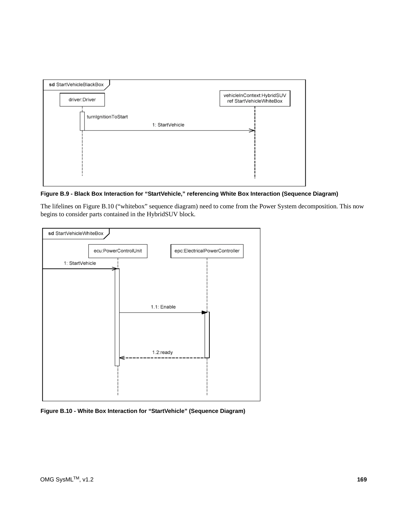

**Figure B.9 - Black Box Interaction for "StartVehicle," referencing White Box Interaction (Sequence Diagram)**

The lifelines on Figure B.10 ("whitebox" sequence diagram) need to come from the Power System decomposition. This now begins to consider parts contained in the HybridSUV block.



**Figure B.10 - White Box Interaction for "StartVehicle" (Sequence Diagram)**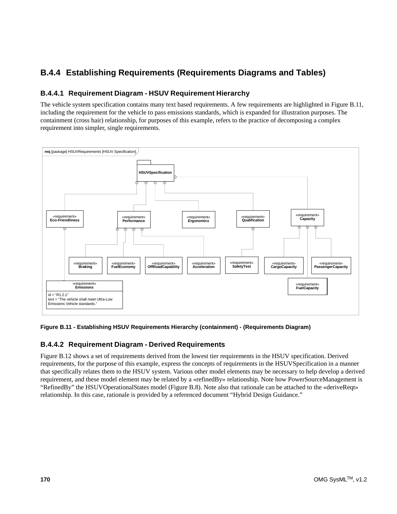## **B.4.4 Establishing Requirements (Requirements Diagrams and Tables)**

### **B.4.4.1 Requirement Diagram - HSUV Requirement Hierarchy**

The vehicle system specification contains many text based requirements. A few requirements are highlighted in Figure B.11, including the requirement for the vehicle to pass emissions standards, which is expanded for illustration purposes. The containment (cross hair) relationship, for purposes of this example, refers to the practice of decomposing a complex requirement into simpler, single requirements.



#### **Figure B.11 - Establishing HSUV Requirements Hierarchy (containment) - (Requirements Diagram)**

### **B.4.4.2 Requirement Diagram - Derived Requirements**

Figure B.12 shows a set of requirements derived from the lowest tier requirements in the HSUV specification. Derived requirements, for the purpose of this example, express the concepts of requirements in the HSUVSpecification in a manner that specifically relates them to the HSUV system. Various other model elements may be necessary to help develop a derived requirement, and these model element may be related by a «refinedBy» relationship. Note how PowerSourceManagement is "RefinedBy" the HSUVOperationalStates model (Figure B.8). Note also that rationale can be attached to the «deriveReqt» relationship. In this case, rationale is provided by a referenced document "Hybrid Design Guidance."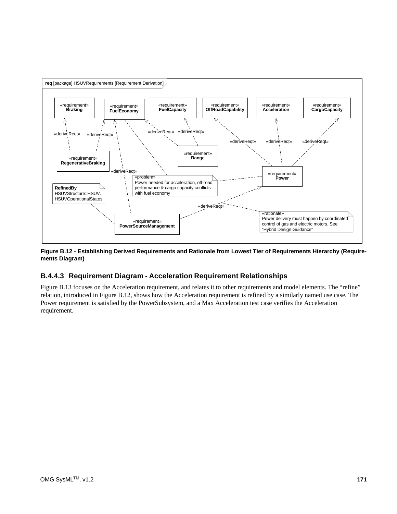

**Figure B.12 - Establishing Derived Requirements and Rationale from Lowest Tier of Requirements Hierarchy (Requirements Diagram)**

### **B.4.4.3 Requirement Diagram - Acceleration Requirement Relationships**

Figure B.13 focuses on the Acceleration requirement, and relates it to other requirements and model elements. The "refine" relation, introduced in Figure B.12, shows how the Acceleration requirement is refined by a similarly named use case. The Power requirement is satisfied by the PowerSubsystem, and a Max Acceleration test case verifies the Acceleration requirement.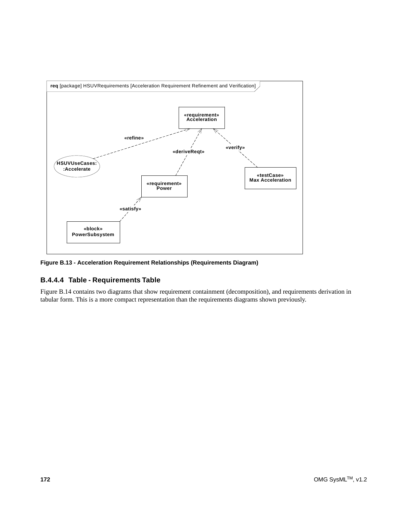

**Figure B.13 - Acceleration Requirement Relationships (Requirements Diagram)**

### **B.4.4.4 Table - Requirements Table**

Figure B.14 contains two diagrams that show requirement containment (decomposition), and requirements derivation in tabular form. This is a more compact representation than the requirements diagrams shown previously.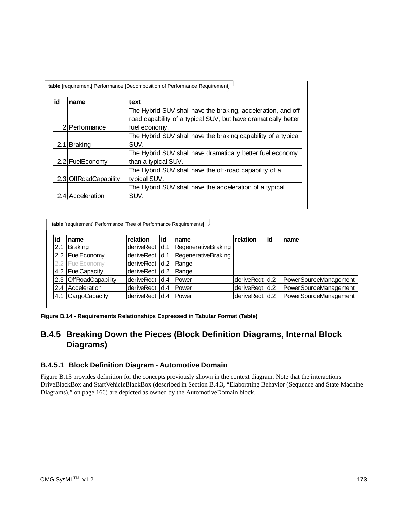| id | name                  | text                                                           |
|----|-----------------------|----------------------------------------------------------------|
|    |                       | The Hybrid SUV shall have the braking, acceleration, and off-  |
|    |                       | road capability of a typical SUV, but have dramatically better |
|    | 2 Performance         | fuel economy.                                                  |
|    |                       | The Hybrid SUV shall have the braking capability of a typical  |
|    | 2.1 Braking           | SUV.                                                           |
|    |                       | The Hybrid SUV shall have dramatically better fuel economy     |
|    | 2.2 FuelEconomy       | than a typical SUV.                                            |
|    |                       | The Hybrid SUV shall have the off-road capability of a         |
|    | 2.3 OffRoadCapability | typical SUV.                                                   |
|    |                       | The Hybrid SUV shall have the acceleration of a typical        |
|    | 2.4 Acceleration      | SUV.                                                           |

| id  | name                     | relation       | id              | name                | relation       | lid | name                  |
|-----|--------------------------|----------------|-----------------|---------------------|----------------|-----|-----------------------|
| 2.  | <b>Braking</b>           | deriveRegt     | Id.1            | RegenerativeBraking |                |     |                       |
| 2.2 | FuelEconomy              | deriveReqt     | $\mathsf{Id}.1$ | RegenerativeBraking |                |     |                       |
|     | FuelEconomy              | deriveReqt     | Id.2            | Range               |                |     |                       |
| 4.2 | FuelCapacity             | deriveReqt     | Id.2            | Range               |                |     |                       |
| 2.3 | <b>OffRoadCapability</b> | deriveReqt     | Id.4            | Power               | deriveRegt d.2 |     | PowerSourceManagement |
| 2.4 | Acceleration             | deriveReqt     | Id.4            | Power               | deriveReqt d.2 |     | PowerSourceManagement |
| 4.  | CargoCapacity            | deriveReqt d.4 |                 | <b>Power</b>        | deriveReqt d.2 |     | PowerSourceManagement |

**Figure B.14 - Requirements Relationships Expressed in Tabular Format (Table)**

## **B.4.5 Breaking Down the Pieces (Block Definition Diagrams, Internal Block Diagrams)**

#### **B.4.5.1 Block Definition Diagram - Automotive Domain**

Figure B.15 provides definition for the concepts previously shown in the context diagram. Note that the interactions DriveBlackBox and StartVehicleBlackBox (described in Section B.4.3, "Elaborating Behavior (Sequence and State Machine Diagrams)," on page 166) are depicted as owned by the AutomotiveDomain block.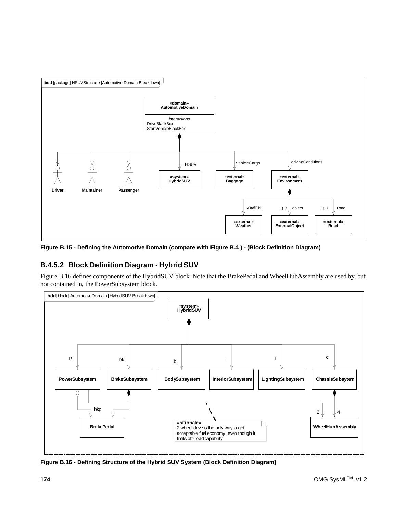

**Figure B.15 - Defining the Automotive Domain (compare with Figure B.4 ) - (Block Definition Diagram)**

### **B.4.5.2 Block Definition Diagram - Hybrid SUV**

Figure B.16 defines components of the HybridSUV block Note that the BrakePedal and WheelHubAssembly are used by, but not contained in, the PowerSubsystem block.



**Figure B.16 - Defining Structure of the Hybrid SUV System (Block Definition Diagram)**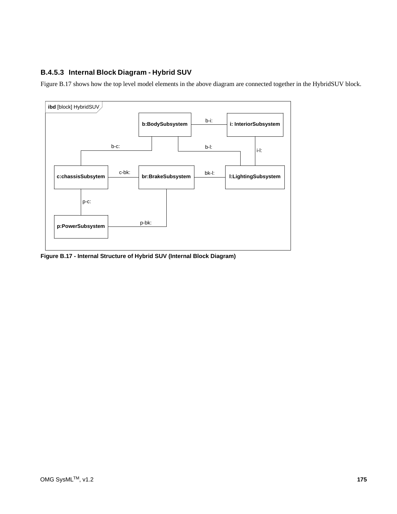### **B.4.5.3 Internal Block Diagram - Hybrid SUV**

Figure B.17 shows how the top level model elements in the above diagram are connected together in the HybridSUV block.



**Figure B.17 - Internal Structure of Hybrid SUV (Internal Block Diagram)**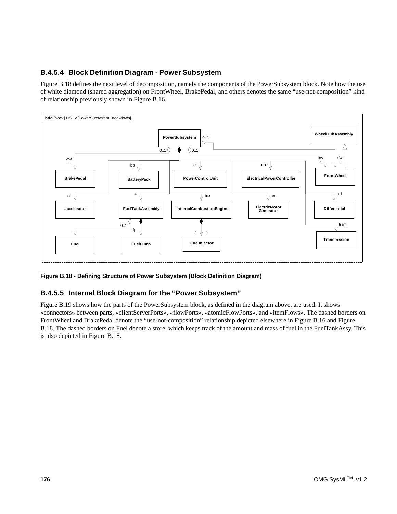### **B.4.5.4 Block Definition Diagram - Power Subsystem**

Figure B.18 defines the next level of decomposition, namely the components of the PowerSubsystem block. Note how the use of white diamond (shared aggregation) on FrontWheel, BrakePedal, and others denotes the same "use-not-composition" kind of relationship previously shown in Figure B.16.



#### **Figure B.18 - Defining Structure of Power Subsystem (Block Definition Diagram)**

#### **B.4.5.5 Internal Block Diagram for the "Power Subsystem"**

Figure B.19 shows how the parts of the PowerSubsystem block, as defined in the diagram above, are used. It shows «connectors» between parts, «clientServerPorts», «flowPorts», «atomicFlowPorts», and «itemFlows». The dashed borders on FrontWheel and BrakePedal denote the "use-not-composition" relationship depicted elsewhere in Figure B.16 and Figure B.18. The dashed borders on Fuel denote a store, which keeps track of the amount and mass of fuel in the FuelTankAssy. This is also depicted in Figure B.18.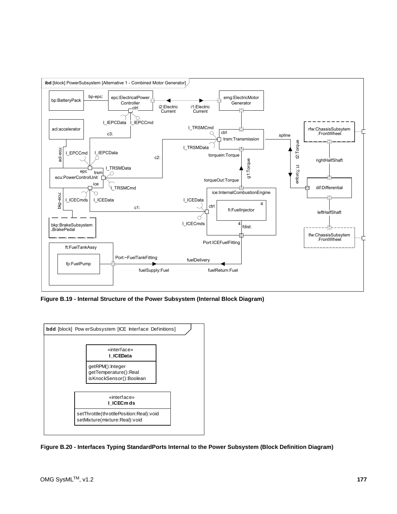

**Figure B.19 - Internal Structure of the Power Subsystem (Internal Block Diagram)**



**Figure B.20 - Interfaces Typing StandardPorts Internal to the Power Subsystem (Block Definition Diagram)**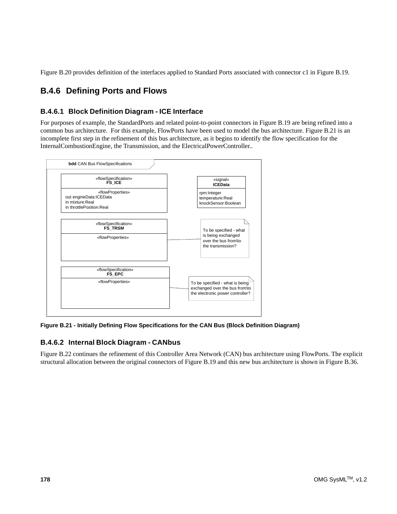Figure B.20 provides definition of the interfaces applied to Standard Ports associated with connector c1 in Figure B.19.

## **B.4.6 Defining Ports and Flows**

### **B.4.6.1 Block Definition Diagram - ICE Interface**

For purposes of example, the StandardPorts and related point-to-point connectors in Figure B.19 are being refined into a common bus architecture. For this example, FlowPorts have been used to model the bus architecture. Figure B.21 is an incomplete first step in the refinement of this bus architecture, as it begins to identify the flow specification for the InternalCombustionEngine, the Transmission, and the ElectricalPowerController..



**Figure B.21 - Initially Defining Flow Specifications for the CAN Bus (Block Definition Diagram)**

### **B.4.6.2 Internal Block Diagram - CANbus**

Figure B.22 continues the refinement of this Controller Area Network (CAN) bus architecture using FlowPorts. The explicit structural allocation between the original connectors of Figure B.19 and this new bus architecture is shown in Figure B.36.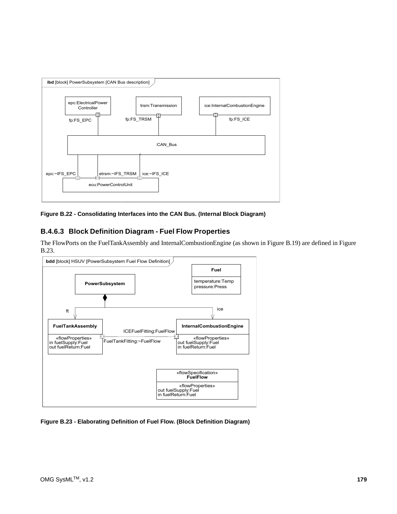

**Figure B.22 - Consolidating Interfaces into the CAN Bus. (Internal Block Diagram)**

### **B.4.6.3 Block Definition Diagram - Fuel Flow Properties**

The FlowPorts on the FuelTankAssembly and InternalCombustionEngine (as shown in Figure B.19) are defined in Figure B.23.



**Figure B.23 - Elaborating Definition of Fuel Flow. (Block Definition Diagram)**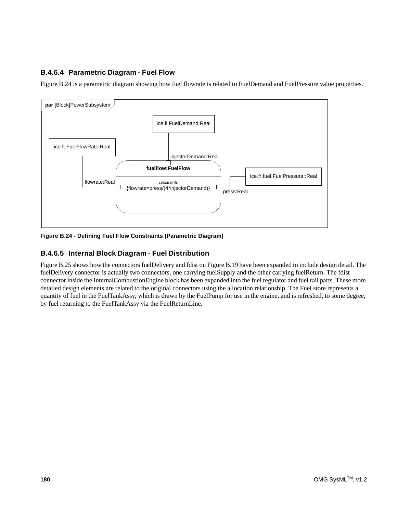### **B.4.6.4 Parametric Diagram - Fuel Flow**

Figure B.24 is a parametric diagram showing how fuel flowrate is related to FuelDemand and FuelPressure value properties.



**Figure B.24 - Defining Fuel Flow Constraints (Parametric Diagram)**

### **B.4.6.5 Internal Block Diagram - Fuel Distribution**

Figure B.25 shows how the connectors fuelDelivery and fdist on Figure B.19 have been expanded to include design detail. The fuelDelivery connector is actually two connectors, one carrying fuelSupply and the other carrying fuelReturn. The fdist connector inside the InternalCombustionEngine block has been expanded into the fuel regulator and fuel rail parts. These more detailed design elements are related to the original connectors using the allocation relationship. The Fuel store represents a quantity of fuel in the FuelTankAssy, which is drawn by the FuelPump for use in the engine, and is refreshed, to some degree, by fuel returning to the FuelTankAssy via the FuelReturnLine.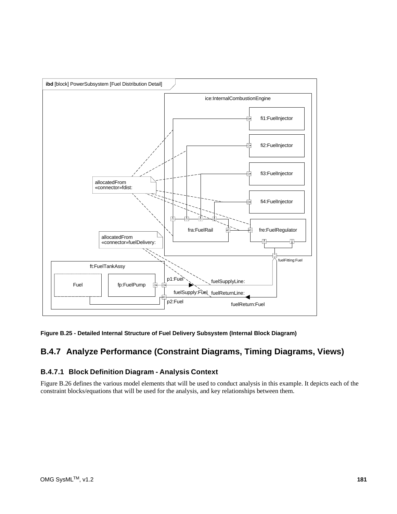

**Figure B.25 - Detailed Internal Structure of Fuel Delivery Subsystem (Internal Block Diagram)**

## **B.4.7 Analyze Performance (Constraint Diagrams, Timing Diagrams, Views)**

### **B.4.7.1 Block Definition Diagram - Analysis Context**

Figure B.26 defines the various model elements that will be used to conduct analysis in this example. It depicts each of the constraint blocks/equations that will be used for the analysis, and key relationships between them.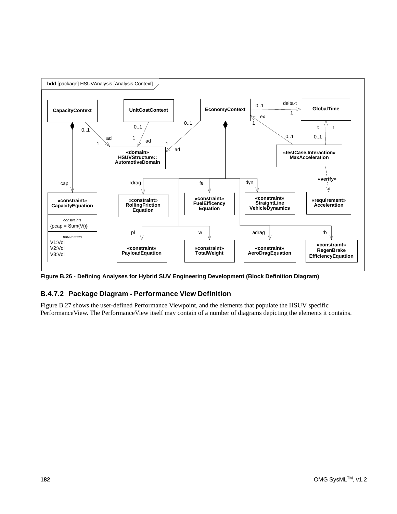

**Figure B.26 - Defining Analyses for Hybrid SUV Engineering Development (Block Definition Diagram)**

### **B.4.7.2 Package Diagram - Performance View Definition**

Figure B.27 shows the user-defined Performance Viewpoint, and the elements that populate the HSUV specific PerformanceView. The PerformanceView itself may contain of a number of diagrams depicting the elements it contains.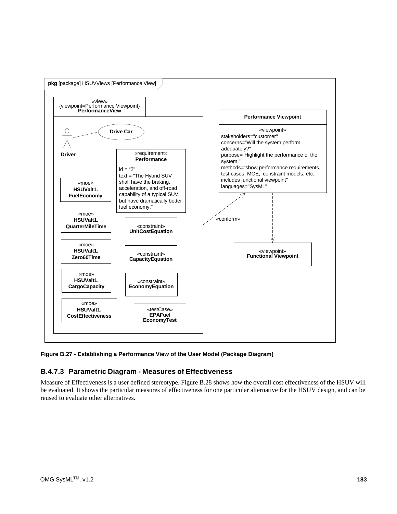

**Figure B.27 - Establishing a Performance View of the User Model (Package Diagram)**

### **B.4.7.3 Parametric Diagram - Measures of Effectiveness**

Measure of Effectiveness is a user defined stereotype. Figure B.28 shows how the overall cost effectiveness of the HSUV will be evaluated. It shows the particular measures of effectiveness for one particular alternative for the HSUV design, and can be reused to evaluate other alternatives.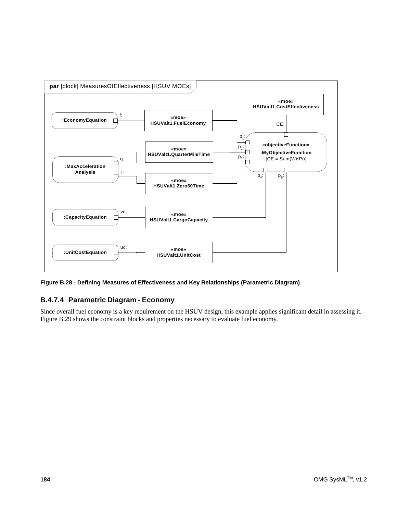

**Figure B.28 - Defining Measures of Effectiveness and Key Relationships (Parametric Diagram)**

### **B.4.7.4 Parametric Diagram - Economy**

Since overall fuel economy is a key requirement on the HSUV design, this example applies significant detail in assessing it. Figure B.29 shows the constraint blocks and properties necessary to evaluate fuel economy.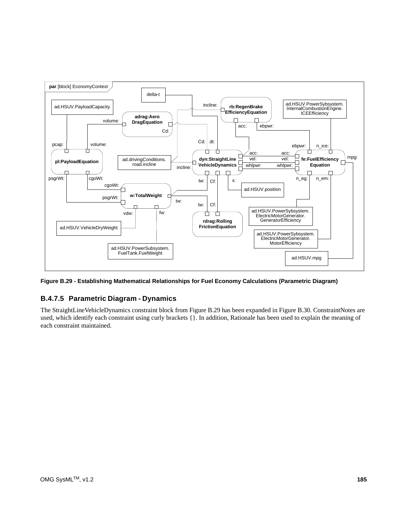

**Figure B.29 - Establishing Mathematical Relationships for Fuel Economy Calculations (Parametric Diagram)**

### **B.4.7.5 Parametric Diagram - Dynamics**

The StraightLineVehicleDynamics constraint block from Figure B.29 has been expanded in Figure B.30. ConstraintNotes are used, which identify each constraint using curly brackets {}. In addition, Rationale has been used to explain the meaning of each constraint maintained.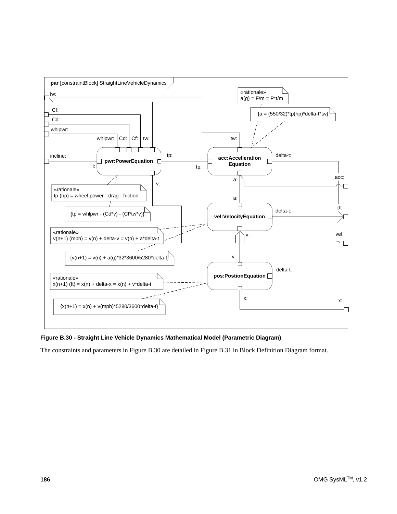

**Figure B.30 - Straight Line Vehicle Dynamics Mathematical Model (Parametric Diagram)**

The constraints and parameters in Figure B.30 are detailed in Figure B.31 in Block Definition Diagram format.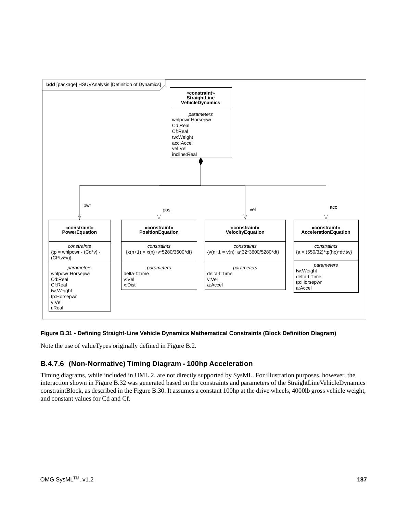

#### **Figure B.31 - Defining Straight-Line Vehicle Dynamics Mathematical Constraints (Block Definition Diagram)**

Note the use of valueTypes originally defined in Figure B.2.

### **B.4.7.6 (Non-Normative) Timing Diagram - 100hp Acceleration**

Timing diagrams, while included in UML 2, are not directly supported by SysML. For illustration purposes, however, the interaction shown in Figure B.32 was generated based on the constraints and parameters of the StraightLineVehicleDynamics constraintBlock, as described in the Figure B.30. It assumes a constant 100hp at the drive wheels, 4000lb gross vehicle weight, and constant values for Cd and Cf.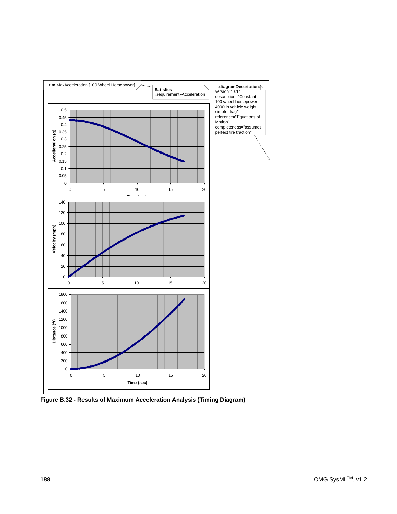

**Figure B.32 - Results of Maximum Acceleration Analysis (Timing Diagram)**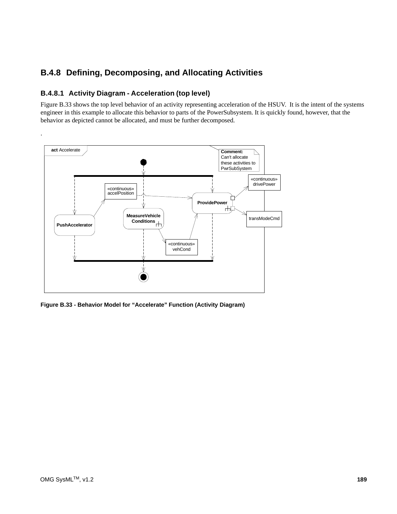## **B.4.8 Defining, Decomposing, and Allocating Activities**

### **B.4.8.1 Activity Diagram - Acceleration (top level)**

Figure B.33 shows the top level behavior of an activity representing acceleration of the HSUV. It is the intent of the systems engineer in this example to allocate this behavior to parts of the PowerSubsystem. It is quickly found, however, that the behavior as depicted cannot be allocated, and must be further decomposed.



**Figure B.33 - Behavior Model for "Accelerate" Function (Activity Diagram)**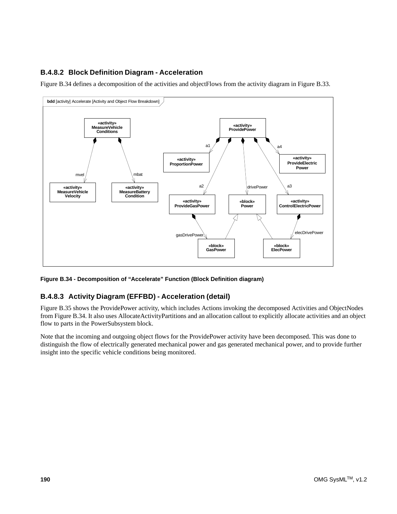### **B.4.8.2 Block Definition Diagram - Acceleration**

Figure B.34 defines a decomposition of the activities and objectFlows from the activity diagram in Figure B.33.



**Figure B.34 - Decomposition of "Accelerate" Function (Block Definition diagram)**

### **B.4.8.3 Activity Diagram (EFFBD) - Acceleration (detail)**

Figure B.35 shows the ProvidePower activity, which includes Actions invoking the decomposed Activities and ObjectNodes from Figure B.34. It also uses AllocateActivityPartitions and an allocation callout to explicitly allocate activities and an object flow to parts in the PowerSubsystem block.

Note that the incoming and outgoing object flows for the ProvidePower activity have been decomposed. This was done to distinguish the flow of electrically generated mechanical power and gas generated mechanical power, and to provide further insight into the specific vehicle conditions being monitored.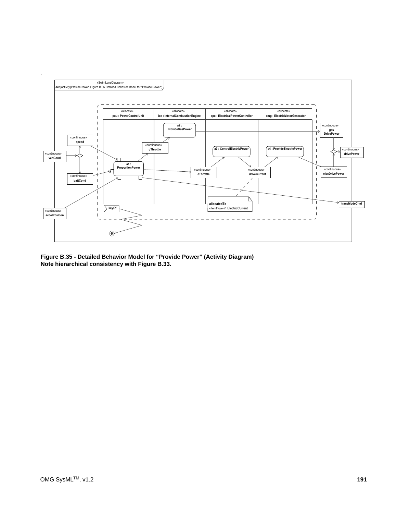

**Figure B.35 - Detailed Behavior Model for "Provide Power" (Activity Diagram) Note hierarchical consistency with Figure B.33.**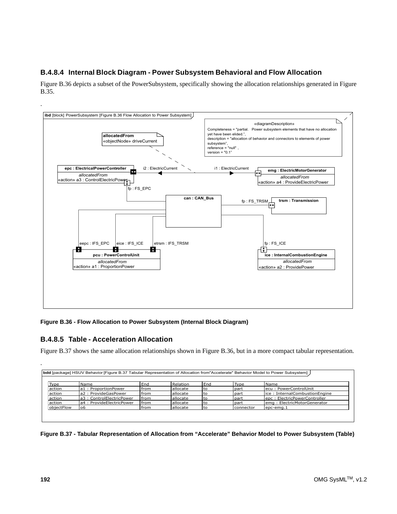### **B.4.8.4 Internal Block Diagram - Power Subsystem Behavioral and Flow Allocation**

Figure B.36 depicts a subset of the PowerSubsystem, specifically showing the allocation relationships generated in Figure B.35.



**Figure B.36 - Flow Allocation to Power Subsystem (Internal Block Diagram)**

### **B.4.8.5 Table - Acceleration Allocation**

Figure B.37 shows the same allocation relationships shown in Figure B.36, but in a more compact tabular representation.

| Type       | Name                      | End           | Relation          | End  | Type       | Name                           |
|------------|---------------------------|---------------|-------------------|------|------------|--------------------------------|
| action     | la1: ProportionPower      | <b>Ifrom</b>  | <b>allocate</b>   | to   | part       | lecu: PowerControlUnit         |
| action     | la2 : ProvideGasPower     | <b>I</b> from | <b>l</b> allocate | l to | part       | lice: InternalCombustionEngine |
| action     | la3: ControlElectricPower | <b>Ifrom</b>  | <b>l</b> allocate | to   | part       | lepc: ElectricPowerController  |
| action     | la4: ProvideElectricPower | <b>I</b> from | <b>allocate</b>   | to   | part       | lema: ElectricMotorGenerator   |
| objectFlow | lo6                       | from          | <b>l</b> allocate | τo   | Iconnector | lepc-ema.1                     |

**Figure B.37 - Tabular Representation of Allocation from "Accelerate" Behavior Model to Power Subsystem (Table)**

.